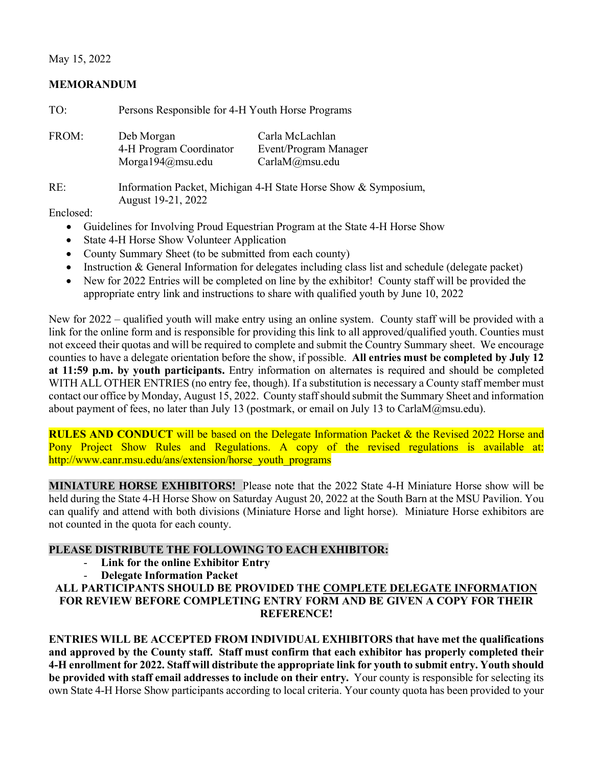# May 15, 2022

#### **MEMORANDUM**

| TO:      | Persons Responsible for 4-H Youth Horse Programs          |                                                                |  |  |
|----------|-----------------------------------------------------------|----------------------------------------------------------------|--|--|
| FROM:    | Deb Morgan<br>4-H Program Coordinator<br>Morga194@msu.edu | Carla McLachlan<br>Event/Program Manager<br>CarlaM@msu.edu     |  |  |
| RE:      | August 19-21, 2022                                        | Information Packet, Michigan 4-H State Horse Show & Symposium, |  |  |
| $17.1$ 1 |                                                           |                                                                |  |  |

Enclosed:

- Guidelines for Involving Proud Equestrian Program at the State 4-H Horse Show
- State 4-H Horse Show Volunteer Application
- County Summary Sheet (to be submitted from each county)
- Instruction & General Information for delegates including class list and schedule (delegate packet)
- New for 2022 Entries will be completed on line by the exhibitor! County staff will be provided the appropriate entry link and instructions to share with qualified youth by June 10, 2022

New for 2022 – qualified youth will make entry using an online system. County staff will be provided with a link for the online form and is responsible for providing this link to all approved/qualified youth. Counties must not exceed their quotas and will be required to complete and submit the Country Summary sheet. We encourage counties to have a delegate orientation before the show, if possible. **All entries must be completed by July 12 at 11:59 p.m. by youth participants.** Entry information on alternates is required and should be completed WITH ALL OTHER ENTRIES (no entry fee, though). If a substitution is necessary a County staff member must contact our office by Monday, August 15, 2022. County staff should submit the Summary Sheet and information about payment of fees, no later than July 13 (postmark, or email on July 13 to CarlaM@msu.edu).

**RULES AND CONDUCT** will be based on the Delegate Information Packet & the Revised 2022 Horse and Pony Project Show Rules and Regulations. A copy of the revised regulations is available at: http://www.canr.msu.edu/ans/extension/horse\_youth\_programs

**MINIATURE HORSE EXHIBITORS!** Please note that the 2022 State 4-H Miniature Horse show will be held during the State 4-H Horse Show on Saturday August 20, 2022 at the South Barn at the MSU Pavilion. You can qualify and attend with both divisions (Miniature Horse and light horse). Miniature Horse exhibitors are not counted in the quota for each county.

# **PLEASE DISTRIBUTE THE FOLLOWING TO EACH EXHIBITOR:**

- **Link for the online Exhibitor Entry** 
	- **Delegate Information Packet**

# **ALL PARTICIPANTS SHOULD BE PROVIDED THE COMPLETE DELEGATE INFORMATION FOR REVIEW BEFORE COMPLETING ENTRY FORM AND BE GIVEN A COPY FOR THEIR REFERENCE!**

**ENTRIES WILL BE ACCEPTED FROM INDIVIDUAL EXHIBITORS that have met the qualifications and approved by the County staff. Staff must confirm that each exhibitor has properly completed their 4-H enrollment for 2022. Staff will distribute the appropriate link for youth to submit entry. Youth should be provided with staff email addresses to include on their entry.** Your county is responsible for selecting its own State 4-H Horse Show participants according to local criteria. Your county quota has been provided to your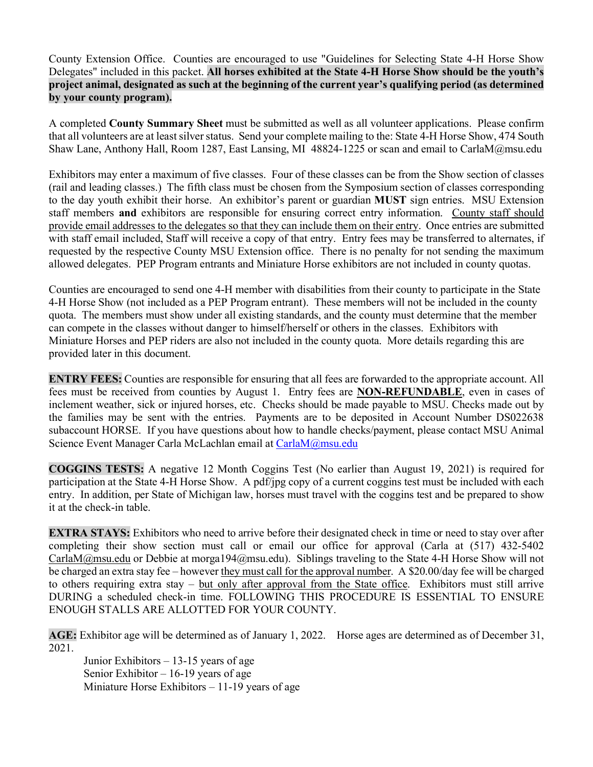County Extension Office. Counties are encouraged to use "Guidelines for Selecting State 4-H Horse Show Delegates" included in this packet. **All horses exhibited at the State 4-H Horse Show should be the youth's project animal, designated as such at the beginning of the current year's qualifying period (as determined by your county program).**

A completed **County Summary Sheet** must be submitted as well as all volunteer applications. Please confirm that all volunteers are at least silver status. Send your complete mailing to the: State 4-H Horse Show, 474 South Shaw Lane, Anthony Hall, Room 1287, East Lansing, MI 48824-1225 or scan and email to CarlaM@msu.edu

Exhibitors may enter a maximum of five classes. Four of these classes can be from the Show section of classes (rail and leading classes.) The fifth class must be chosen from the Symposium section of classes corresponding to the day youth exhibit their horse. An exhibitor's parent or guardian **MUST** sign entries. MSU Extension staff members **and** exhibitors are responsible for ensuring correct entry information. County staff should provide email addresses to the delegates so that they can include them on their entry. Once entries are submitted with staff email included, Staff will receive a copy of that entry. Entry fees may be transferred to alternates, if requested by the respective County MSU Extension office. There is no penalty for not sending the maximum allowed delegates. PEP Program entrants and Miniature Horse exhibitors are not included in county quotas.

Counties are encouraged to send one 4-H member with disabilities from their county to participate in the State 4-H Horse Show (not included as a PEP Program entrant). These members will not be included in the county quota. The members must show under all existing standards, and the county must determine that the member can compete in the classes without danger to himself/herself or others in the classes. Exhibitors with Miniature Horses and PEP riders are also not included in the county quota. More details regarding this are provided later in this document.

**ENTRY FEES:** Counties are responsible for ensuring that all fees are forwarded to the appropriate account. All fees must be received from counties by August 1. Entry fees are **NON-REFUNDABLE**, even in cases of inclement weather, sick or injured horses, etc. Checks should be made payable to MSU. Checks made out by the families may be sent with the entries. Payments are to be deposited in Account Number DS022638 subaccount HORSE. If you have questions about how to handle checks/payment, please contact MSU Animal Science Event Manager Carla McLachlan email at [CarlaM@msu.edu](mailto:CarlaM@msu.edu)

**COGGINS TESTS:** A negative 12 Month Coggins Test (No earlier than August 19, 2021) is required for participation at the State 4-H Horse Show. A pdf/jpg copy of a current coggins test must be included with each entry. In addition, per State of Michigan law, horses must travel with the coggins test and be prepared to show it at the check-in table.

**EXTRA STAYS:** Exhibitors who need to arrive before their designated check in time or need to stay over after completing their show section must call or email our office for approval (Carla at (517) 432-5402 [CarlaM@msu.edu](mailto:CarlaM@msu.edu) or Debbie at morga194@msu.edu). Siblings traveling to the State 4-H Horse Show will not be charged an extra stay fee – however they must call for the approval number. A \$20.00/day fee will be charged to others requiring extra stay – but only after approval from the State office. Exhibitors must still arrive DURING a scheduled check-in time. FOLLOWING THIS PROCEDURE IS ESSENTIAL TO ENSURE ENOUGH STALLS ARE ALLOTTED FOR YOUR COUNTY.

**AGE:** Exhibitor age will be determined as of January 1, 2022. Horse ages are determined as of December 31, 2021.

Junior Exhibitors – 13-15 years of age Senior Exhibitor  $-16-19$  years of age Miniature Horse Exhibitors – 11-19 years of age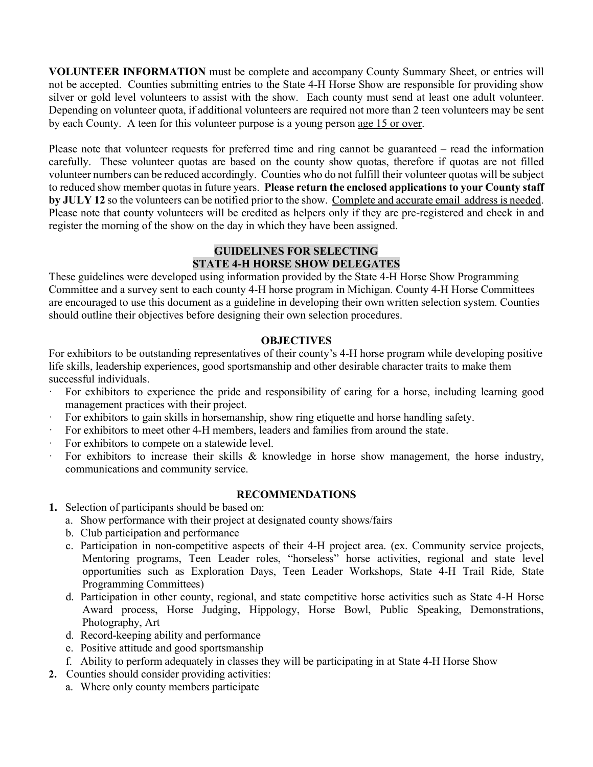**VOLUNTEER INFORMATION** must be complete and accompany County Summary Sheet, or entries will not be accepted. Counties submitting entries to the State 4-H Horse Show are responsible for providing show silver or gold level volunteers to assist with the show. Each county must send at least one adult volunteer. Depending on volunteer quota, if additional volunteers are required not more than 2 teen volunteers may be sent by each County. A teen for this volunteer purpose is a young person age 15 or over.

Please note that volunteer requests for preferred time and ring cannot be guaranteed – read the information carefully. These volunteer quotas are based on the county show quotas, therefore if quotas are not filled volunteer numbers can be reduced accordingly. Counties who do not fulfill their volunteer quotas will be subject to reduced show member quotas in future years. **Please return the enclosed applications to your County staff by JULY 12** so the volunteers can be notified prior to the show. Complete and accurate email address is needed. Please note that county volunteers will be credited as helpers only if they are pre-registered and check in and register the morning of the show on the day in which they have been assigned.

# **GUIDELINES FOR SELECTING STATE 4-H HORSE SHOW DELEGATES**

These guidelines were developed using information provided by the State 4-H Horse Show Programming Committee and a survey sent to each county 4-H horse program in Michigan. County 4-H Horse Committees are encouraged to use this document as a guideline in developing their own written selection system. Counties should outline their objectives before designing their own selection procedures.

# **OBJECTIVES**

For exhibitors to be outstanding representatives of their county's 4-H horse program while developing positive life skills, leadership experiences, good sportsmanship and other desirable character traits to make them successful individuals.

- · For exhibitors to experience the pride and responsibility of caring for a horse, including learning good management practices with their project.
- For exhibitors to gain skills in horsemanship, show ring etiquette and horse handling safety.
- · For exhibitors to meet other 4-H members, leaders and families from around the state.
- For exhibitors to compete on a statewide level.
- For exhibitors to increase their skills  $\&$  knowledge in horse show management, the horse industry, communications and community service.

#### **RECOMMENDATIONS**

- **1.** Selection of participants should be based on:
	- a. Show performance with their project at designated county shows/fairs
	- b. Club participation and performance
	- c. Participation in non-competitive aspects of their 4-H project area. (ex. Community service projects, Mentoring programs, Teen Leader roles, "horseless" horse activities, regional and state level opportunities such as Exploration Days, Teen Leader Workshops, State 4-H Trail Ride, State Programming Committees)
	- d. Participation in other county, regional, and state competitive horse activities such as State 4-H Horse Award process, Horse Judging, Hippology, Horse Bowl, Public Speaking, Demonstrations, Photography, Art
	- d. Record-keeping ability and performance
	- e. Positive attitude and good sportsmanship
	- f. Ability to perform adequately in classes they will be participating in at State 4-H Horse Show
- **2.** Counties should consider providing activities:
	- a. Where only county members participate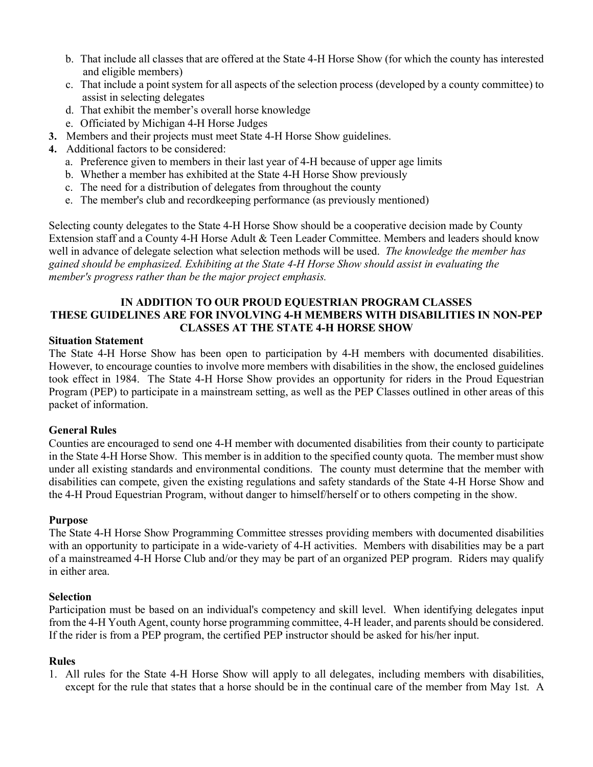- b. That include all classes that are offered at the State 4-H Horse Show (for which the county has interested and eligible members)
- c. That include a point system for all aspects of the selection process (developed by a county committee) to assist in selecting delegates
- d. That exhibit the member's overall horse knowledge
- e. Officiated by Michigan 4-H Horse Judges
- **3.** Members and their projects must meet State 4-H Horse Show guidelines.
- **4.** Additional factors to be considered:
	- a. Preference given to members in their last year of 4-H because of upper age limits
	- b. Whether a member has exhibited at the State 4-H Horse Show previously
	- c. The need for a distribution of delegates from throughout the county
	- e. The member's club and recordkeeping performance (as previously mentioned)

Selecting county delegates to the State 4-H Horse Show should be a cooperative decision made by County Extension staff and a County 4-H Horse Adult & Teen Leader Committee. Members and leaders should know well in advance of delegate selection what selection methods will be used. *The knowledge the member has gained should be emphasized. Exhibiting at the State 4-H Horse Show should assist in evaluating the member's progress rather than be the major project emphasis.*

#### **IN ADDITION TO OUR PROUD EQUESTRIAN PROGRAM CLASSES THESE GUIDELINES ARE FOR INVOLVING 4-H MEMBERS WITH DISABILITIES IN NON-PEP CLASSES AT THE STATE 4-H HORSE SHOW**

#### **Situation Statement**

The State 4-H Horse Show has been open to participation by 4-H members with documented disabilities. However, to encourage counties to involve more members with disabilities in the show, the enclosed guidelines took effect in 1984. The State 4-H Horse Show provides an opportunity for riders in the Proud Equestrian Program (PEP) to participate in a mainstream setting, as well as the PEP Classes outlined in other areas of this packet of information.

#### **General Rules**

Counties are encouraged to send one 4-H member with documented disabilities from their county to participate in the State 4-H Horse Show. This member is in addition to the specified county quota. The member must show under all existing standards and environmental conditions. The county must determine that the member with disabilities can compete, given the existing regulations and safety standards of the State 4-H Horse Show and the 4-H Proud Equestrian Program, without danger to himself/herself or to others competing in the show.

#### **Purpose**

The State 4-H Horse Show Programming Committee stresses providing members with documented disabilities with an opportunity to participate in a wide-variety of 4-H activities. Members with disabilities may be a part of a mainstreamed 4-H Horse Club and/or they may be part of an organized PEP program. Riders may qualify in either area.

#### **Selection**

Participation must be based on an individual's competency and skill level. When identifying delegates input from the 4-H Youth Agent, county horse programming committee, 4-H leader, and parents should be considered. If the rider is from a PEP program, the certified PEP instructor should be asked for his/her input.

#### **Rules**

1. All rules for the State 4-H Horse Show will apply to all delegates, including members with disabilities, except for the rule that states that a horse should be in the continual care of the member from May 1st. A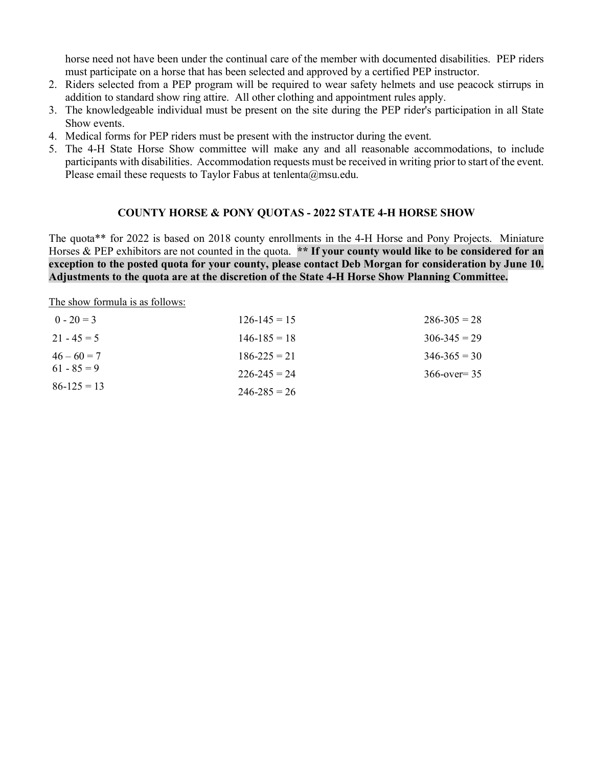horse need not have been under the continual care of the member with documented disabilities. PEP riders must participate on a horse that has been selected and approved by a certified PEP instructor.

- 2. Riders selected from a PEP program will be required to wear safety helmets and use peacock stirrups in addition to standard show ring attire. All other clothing and appointment rules apply.
- 3. The knowledgeable individual must be present on the site during the PEP rider's participation in all State Show events.
- 4. Medical forms for PEP riders must be present with the instructor during the event.
- 5. The 4-H State Horse Show committee will make any and all reasonable accommodations, to include participants with disabilities. Accommodation requests must be received in writing prior to start of the event. Please email these requests to Taylor Fabus at tenlenta@msu.edu.

# **COUNTY HORSE & PONY QUOTAS - 2022 STATE 4-H HORSE SHOW**

The quota\*\* for 2022 is based on 2018 county enrollments in the 4-H Horse and Pony Projects. Miniature Horses & PEP exhibitors are not counted in the quota. \*\* If your county would like to be considered for an **exception to the posted quota for your county, please contact Deb Morgan for consideration by June 10. Adjustments to the quota are at the discretion of the State 4-H Horse Show Planning Committee.**

The show formula is as follows:

| $0 - 20 = 3$    | $126 - 145 = 15$ | $286 - 305 = 28$ |
|-----------------|------------------|------------------|
| $21 - 45 = 5$   | $146 - 185 = 18$ | $306 - 345 = 29$ |
| $46 - 60 = 7$   | $186 - 225 = 21$ | $346 - 365 = 30$ |
| $61 - 85 = 9$   | $226 - 245 = 24$ | $366$ -over= 35  |
| $86 - 125 = 13$ | $246 - 285 = 26$ |                  |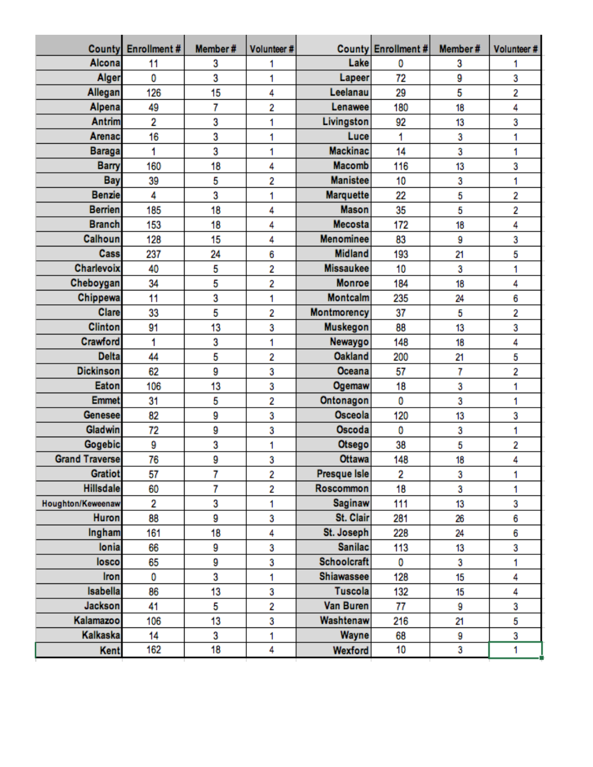| <b>County</b>         | Enrollment# | Member# | Volunteer# |                   | County Enrollment # | Member# | Volunteer# |
|-----------------------|-------------|---------|------------|-------------------|---------------------|---------|------------|
| Alcona                | 11          | 3       | 1          | Lake              | Ō                   | 3       | 1          |
| Alger                 | 0           | 3       | 1          | Lapeer            | 72                  | 9       | 3          |
| Allegan               | 126         | 15      | 4          | Leelanau          | 29                  | 5       | 2          |
| Alpena                | 49          | 7       | 2          | Lenawee           | 180                 | 18      | 4          |
| <b>Antrim</b>         | 2           | 3       | 1          | Livingston        | 92                  | 13      | 3          |
| Arenac                | 16          | 3       | 1          | Luce              | 1                   | 3       | 1          |
| <b>Baraga</b>         | 1           | 3       | 1          | <b>Mackinac</b>   | 14                  | 3       | 1          |
| <b>Barry</b>          | 160         | 18      | 4          | <b>Macomb</b>     | 116                 | 13      | 3          |
| <b>Bay</b>            | 39          | 5       | 2          | <b>Manistee</b>   | 10                  | 3       | 1          |
| <b>Benzie</b>         | 4           | 3       | 1          | <b>Marquette</b>  | 22                  | 5       | 2          |
| <b>Berrien</b>        | 185         | 18      | 4          | <b>Mason</b>      | 35                  | 5       | 2          |
| <b>Branch</b>         | 153         | 18      | 4          | <b>Mecosta</b>    | 172                 | 18      | 4          |
| Calhoun               | 128         | 15      | 4          | <b>Menominee</b>  | 83                  | 9       | 3          |
| Cass                  | 237         | 24      | 6          | <b>Midland</b>    | 193                 | 21      | 5          |
| <b>Charlevoix</b>     | 40          | 5       | 2          | <b>Missaukee</b>  | 10                  | 3       | 1          |
| Cheboygan             | 34          | 5       | 2          | <b>Monroe</b>     | 184                 | 18      | 4          |
| Chippewa              | 11          | 3       | 1          | <b>Montcalm</b>   | 235                 | 24      | 6          |
| <b>Clare</b>          | 33          | 5       | 2          | Montmorency       | 37                  | 5       | 2          |
| <b>Clinton</b>        | 91          | 13      | 3          | <b>Muskegon</b>   | 88                  | 13      | 3          |
| Crawford              | 1           | 3       | 1          | Newaygo           | 148                 | 18      | 4          |
| <b>Delta</b>          | 44          | 5       | 2          | <b>Oakland</b>    | 200                 | 21      | 5          |
| <b>Dickinson</b>      | 62          | 9       | 3          | Oceana            | 57                  | 7       | 2          |
| Eaton                 | 106         | 13      | 3          | Ogemaw            | 18                  | 3       | 1          |
| <b>Emmet</b>          | 31          | 5       | 2          | Ontonagon         | 0                   | 3       | 1          |
| <b>Genesee</b>        | 82          | 9       | 3          | Osceola           | 120                 | 13      | 3          |
| Gladwin               | 72          | 9       | 3          | Oscoda            | 0                   | 3       | 1          |
| Gogebic               | 9           | 3       | 1          | Otsego            | 38                  | 5       | 2          |
| <b>Grand Traverse</b> | 76          | 9       | 3          | <b>Ottawa</b>     | 148                 | 18      | 4          |
| <b>Gratiot</b>        | 57          | 7       | 2          | Presque Isle      | 2                   | 3       | 1          |
| <b>Hillsdale</b>      | 60          | 7       | 2          | Roscommon         | 18                  | 3       | 1          |
| Houghton/Keweenaw     | 2           | 3       | 1          | <b>Saginaw</b>    | 111                 | 13      | 3          |
| <b>Huron</b>          | 88          | 9       | 3          | St. Clair         | 281                 | 26      | 6          |
| Ingham                | 161         | 18      | 4          | St. Joseph        | 228                 | 24      | 6          |
| lonia                 | 66          | 9       | 3          | <b>Sanilac</b>    | 113                 | 13      | 3          |
| losco                 | 65          | 9       | 3          | Schoolcraft       | 0                   | 3       | 1          |
| Iron                  | 0           | 3       | 1          | <b>Shiawassee</b> | 128                 | 15      | 4          |
| Isabella              | 86          | 13      | 3          | <b>Tuscola</b>    | 132                 | 15      | 4          |
| <b>Jackson</b>        | 41          | 5       | 2          | Van Buren         | 77                  | 9       | 3          |
| Kalamazoo             | 106         | 13      | 3          | Washtenaw         | 216                 | 21      | 5          |
| Kalkaska              | 14          | 3       | 1          | Wayne             | 68                  | 9       | 3          |
| Kent                  | 162         | 18      | 4          | Wexford           | 10                  | 3       | 1          |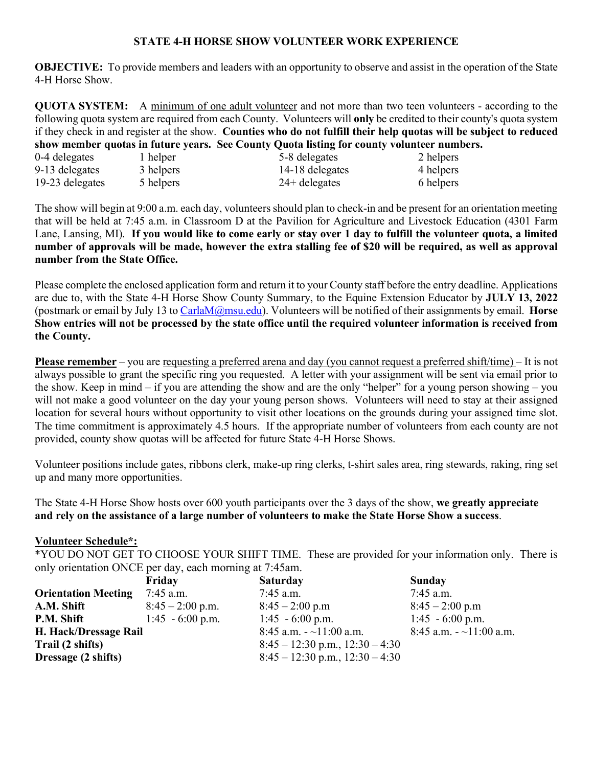#### **STATE 4-H HORSE SHOW VOLUNTEER WORK EXPERIENCE**

**OBJECTIVE:** To provide members and leaders with an opportunity to observe and assist in the operation of the State 4-H Horse Show.

**QUOTA SYSTEM:** A minimum of one adult volunteer and not more than two teen volunteers - according to the following quota system are required from each County. Volunteers will **only** be credited to their county's quota system if they check in and register at the show. **Counties who do not fulfill their help quotas will be subject to reduced show member quotas in future years. See County Quota listing for county volunteer numbers.**

| 0-4 delegates   | 1 helper  | 5-8 delegates   | 2 helpers |
|-----------------|-----------|-----------------|-----------|
| 9-13 delegates  | 3 helpers | 14-18 delegates | 4 helpers |
| 19-23 delegates | 5 helpers | $24+$ delegates | 6 helpers |

The show will begin at 9:00 a.m. each day, volunteers should plan to check-in and be present for an orientation meeting that will be held at 7:45 a.m. in Classroom D at the Pavilion for Agriculture and Livestock Education (4301 Farm Lane, Lansing, MI). **If you would like to come early or stay over 1 day to fulfill the volunteer quota, a limited number of approvals will be made, however the extra stalling fee of \$20 will be required, as well as approval number from the State Office.**

Please complete the enclosed application form and return it to your County staff before the entry deadline. Applications are due to, with the State 4-H Horse Show County Summary, to the Equine Extension Educator by **JULY 13, 2022** (postmark or email by July 13 to [CarlaM@msu.edu\)](mailto:CarlaM@msu.edu). Volunteers will be notified of their assignments by email. **Horse Show entries will not be processed by the state office until the required volunteer information is received from the County.** 

**Please remember** – you are requesting a preferred arena and day (you cannot request a preferred shift/time) – It is not always possible to grant the specific ring you requested. A letter with your assignment will be sent via email prior to the show. Keep in mind – if you are attending the show and are the only "helper" for a young person showing – you will not make a good volunteer on the day your young person shows. Volunteers will need to stay at their assigned location for several hours without opportunity to visit other locations on the grounds during your assigned time slot. The time commitment is approximately 4.5 hours. If the appropriate number of volunteers from each county are not provided, county show quotas will be affected for future State 4-H Horse Shows.

Volunteer positions include gates, ribbons clerk, make-up ring clerks, t-shirt sales area, ring stewards, raking, ring set up and many more opportunities.

The State 4-H Horse Show hosts over 600 youth participants over the 3 days of the show, **we greatly appreciate and rely on the assistance of a large number of volunteers to make the State Horse Show a success**.

#### **Volunteer Schedule\*:**

\*YOU DO NOT GET TO CHOOSE YOUR SHIFT TIME. These are provided for your information only. There is only orientation ONCE per day, each morning at 7:45am.

|                            | Friday             | <b>Saturday</b>                     | <b>Sunday</b>           |
|----------------------------|--------------------|-------------------------------------|-------------------------|
| <b>Orientation Meeting</b> | 7:45 a.m.          | $7:45$ a.m.                         | $7:45$ a.m.             |
| A.M. Shift                 | $8:45 - 2:00$ p.m. | $8:45 - 2:00$ p.m                   | $8:45 - 2:00$ p.m       |
| P.M. Shift                 | $1:45 - 6:00$ p.m. | $1:45 - 6:00$ p.m.                  | $1:45 - 6:00$ p.m.      |
| H. Hack/Dressage Rail      |                    | 8:45 a.m. $-11:00$ a.m.             | 8:45 a.m. $-11:00$ a.m. |
| Trail (2 shifts)           |                    | $8:45 - 12:30$ p.m., $12:30 - 4:30$ |                         |
| Dressage (2 shifts)        |                    | $8:45 - 12:30$ p.m., $12:30 - 4:30$ |                         |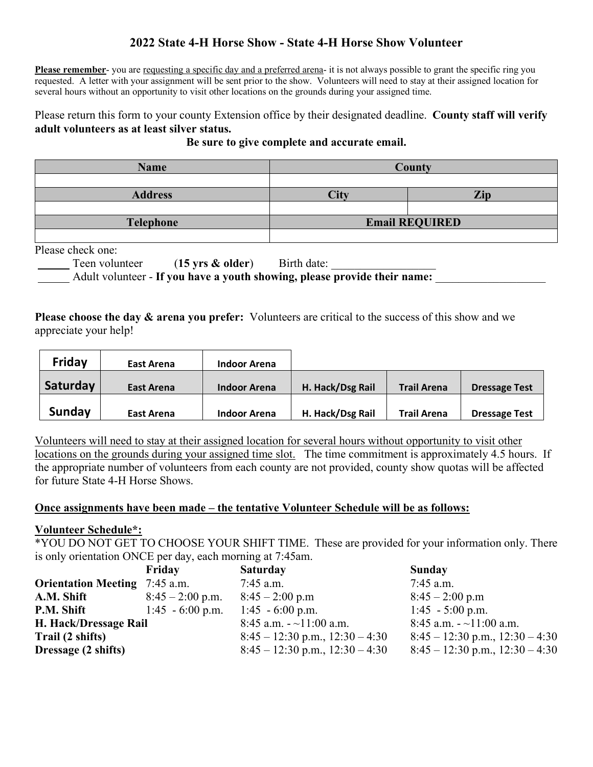# **2022 State 4-H Horse Show - State 4-H Horse Show Volunteer**

**Please remember-** you are requesting a specific day and a preferred arena- it is not always possible to grant the specific ring you requested. A letter with your assignment will be sent prior to the show. Volunteers will need to stay at their assigned location for several hours without an opportunity to visit other locations on the grounds during your assigned time.

# Please return this form to your county Extension office by their designated deadline. **County staff will verify adult volunteers as at least silver status.**

| <b>Name</b>      | <b>County</b>         |  |  |
|------------------|-----------------------|--|--|
|                  |                       |  |  |
| <b>Address</b>   | Zip<br>City           |  |  |
|                  |                       |  |  |
| <b>Telephone</b> | <b>Email REQUIRED</b> |  |  |
|                  |                       |  |  |

#### **Be sure to give complete and accurate email.**

Please check one:

Teen volunteer (15 **yrs & older**) Birth date: Adult volunteer - If you have a youth showing, please provide their name:

**Please choose the day & arena you prefer:** Volunteers are critical to the success of this show and we appreciate your help!

| Friday   | East Arena | <b>Indoor Arena</b> |                  |                    |                      |
|----------|------------|---------------------|------------------|--------------------|----------------------|
| Saturday | East Arena | <b>Indoor Arena</b> | H. Hack/Dsg Rail | <b>Trail Arena</b> | <b>Dressage Test</b> |
| Sunday   | East Arena | <b>Indoor Arena</b> | H. Hack/Dsg Rail | <b>Trail Arena</b> | <b>Dressage Test</b> |

Volunteers will need to stay at their assigned location for several hours without opportunity to visit other locations on the grounds during your assigned time slot. The time commitment is approximately 4.5 hours. If the appropriate number of volunteers from each county are not provided, county show quotas will be affected for future State 4-H Horse Shows.

#### **Once assignments have been made – the tentative Volunteer Schedule will be as follows:**

#### **Volunteer Schedule\*:**

\*YOU DO NOT GET TO CHOOSE YOUR SHIFT TIME. These are provided for your information only. There is only orientation ONCE per day, each morning at 7:45am.

|                                      | Friday             | <b>Saturday</b>                     | Sunday                              |
|--------------------------------------|--------------------|-------------------------------------|-------------------------------------|
| <b>Orientation Meeting</b> 7:45 a.m. |                    | $7:45$ a.m.                         | $7:45$ a.m.                         |
| A.M. Shift                           | $8:45 - 2:00$ p.m. | $8:45 - 2:00$ p.m                   | $8:45 - 2:00$ p.m                   |
| P.M. Shift                           | $1:45 - 6:00$ p.m. | $1:45 - 6:00$ p.m.                  | $1:45 - 5:00$ p.m.                  |
| H. Hack/Dressage Rail                |                    | 8:45 a.m. $\sim$ 11:00 a.m.         | 8:45 a.m. $\sim$ 11:00 a.m.         |
| Trail (2 shifts)                     |                    | $8:45 - 12:30$ p.m., $12:30 - 4:30$ | $8:45 - 12:30$ p.m., $12:30 - 4:30$ |
| Dressage (2 shifts)                  |                    | $8:45 - 12:30$ p.m., $12:30 - 4:30$ | $8:45 - 12:30$ p.m., $12:30 - 4:30$ |